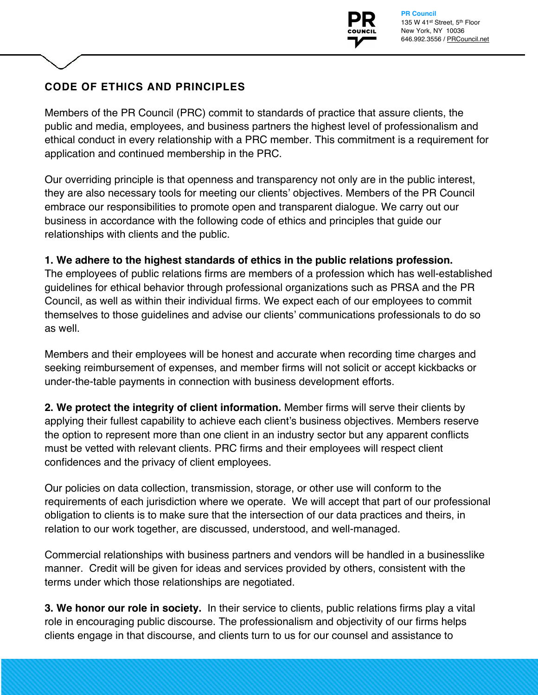

## **CODE OF ETHICS AND PRINCIPLES**

į

Members of the PR Council (PRC) commit to standards of practice that assure clients, the public and media, employees, and business partners the highest level of professionalism and ethical conduct in every relationship with a PRC member. This commitment is a requirement for application and continued membership in the PRC.

Our overriding principle is that openness and transparency not only are in the public interest, they are also necessary tools for meeting our clients' objectives. Members of the PR Council embrace our responsibilities to promote open and transparent dialogue. We carry out our business in accordance with the following code of ethics and principles that guide our relationships with clients and the public.

## **1. We adhere to the highest standards of ethics in the public relations profession.**

The employees of public relations firms are members of a profession which has well-established guidelines for ethical behavior through professional organizations such as PRSA and the PR Council, as well as within their individual firms. We expect each of our employees to commit themselves to those guidelines and advise our clients' communications professionals to do so as well.

Members and their employees will be honest and accurate when recording time charges and seeking reimbursement of expenses, and member firms will not solicit or accept kickbacks or under-the-table payments in connection with business development efforts.

**2. We protect the integrity of client information.** Member firms will serve their clients by applying their fullest capability to achieve each client's business objectives. Members reserve the option to represent more than one client in an industry sector but any apparent conflicts must be vetted with relevant clients. PRC firms and their employees will respect client confidences and the privacy of client employees.

Our policies on data collection, transmission, storage, or other use will conform to the requirements of each jurisdiction where we operate. We will accept that part of our professional obligation to clients is to make sure that the intersection of our data practices and theirs, in relation to our work together, are discussed, understood, and well-managed.

Commercial relationships with business partners and vendors will be handled in a businesslike manner. Credit will be given for ideas and services provided by others, consistent with the terms under which those relationships are negotiated.

**3. We honor our role in society.** In their service to clients, public relations firms play a vital role in encouraging public discourse. The professionalism and objectivity of our firms helps clients engage in that discourse, and clients turn to us for our counsel and assistance to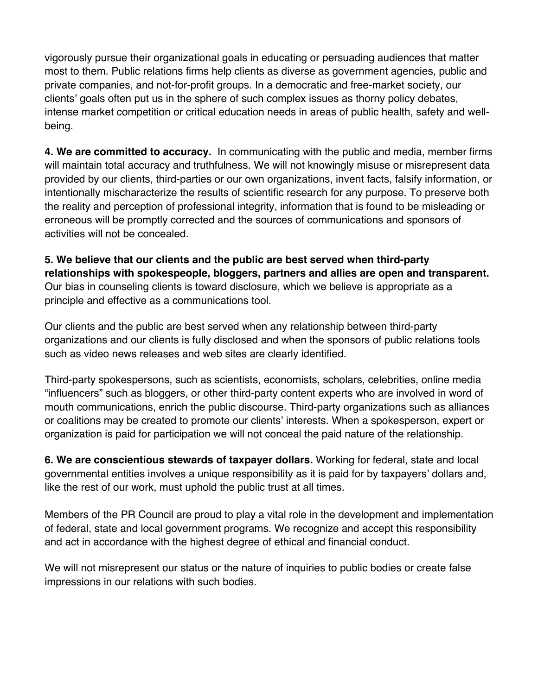vigorously pursue their organizational goals in educating or persuading audiences that matter most to them. Public relations firms help clients as diverse as government agencies, public and private companies, and not-for-profit groups. In a democratic and free-market society, our clients' goals often put us in the sphere of such complex issues as thorny policy debates, intense market competition or critical education needs in areas of public health, safety and wellbeing.

**4. We are committed to accuracy.** In communicating with the public and media, member firms will maintain total accuracy and truthfulness. We will not knowingly misuse or misrepresent data provided by our clients, third-parties or our own organizations, invent facts, falsify information, or intentionally mischaracterize the results of scientific research for any purpose. To preserve both the reality and perception of professional integrity, information that is found to be misleading or erroneous will be promptly corrected and the sources of communications and sponsors of activities will not be concealed.

**5. We believe that our clients and the public are best served when third-party relationships with spokespeople, bloggers, partners and allies are open and transparent.** Our bias in counseling clients is toward disclosure, which we believe is appropriate as a principle and effective as a communications tool.

Our clients and the public are best served when any relationship between third-party organizations and our clients is fully disclosed and when the sponsors of public relations tools such as video news releases and web sites are clearly identified.

Third-party spokespersons, such as scientists, economists, scholars, celebrities, online media "influencers" such as bloggers, or other third-party content experts who are involved in word of mouth communications, enrich the public discourse. Third-party organizations such as alliances or coalitions may be created to promote our clients' interests. When a spokesperson, expert or organization is paid for participation we will not conceal the paid nature of the relationship.

**6. We are conscientious stewards of taxpayer dollars.** Working for federal, state and local governmental entities involves a unique responsibility as it is paid for by taxpayers' dollars and, like the rest of our work, must uphold the public trust at all times.

Members of the PR Council are proud to play a vital role in the development and implementation of federal, state and local government programs. We recognize and accept this responsibility and act in accordance with the highest degree of ethical and financial conduct.

We will not misrepresent our status or the nature of inquiries to public bodies or create false impressions in our relations with such bodies.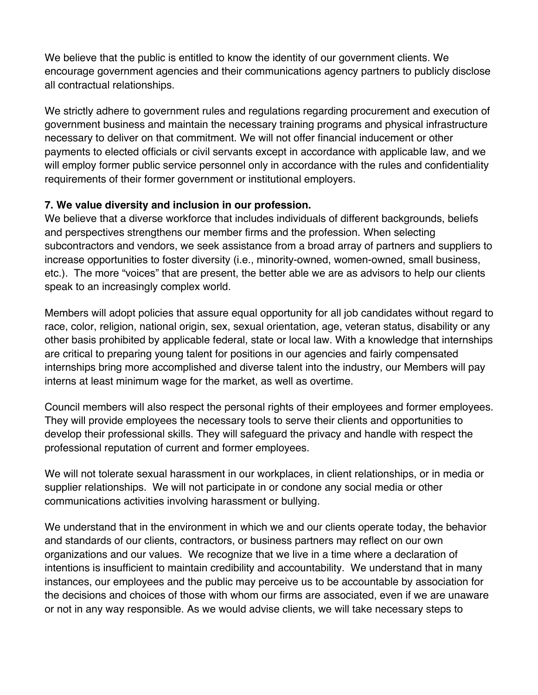We believe that the public is entitled to know the identity of our government clients. We encourage government agencies and their communications agency partners to publicly disclose all contractual relationships.

We strictly adhere to government rules and regulations regarding procurement and execution of government business and maintain the necessary training programs and physical infrastructure necessary to deliver on that commitment. We will not offer financial inducement or other payments to elected officials or civil servants except in accordance with applicable law, and we will employ former public service personnel only in accordance with the rules and confidentiality requirements of their former government or institutional employers.

## **7. We value diversity and inclusion in our profession.**

We believe that a diverse workforce that includes individuals of different backgrounds, beliefs and perspectives strengthens our member firms and the profession. When selecting subcontractors and vendors, we seek assistance from a broad array of partners and suppliers to increase opportunities to foster diversity (i.e., minority-owned, women-owned, small business, etc.). The more "voices" that are present, the better able we are as advisors to help our clients speak to an increasingly complex world.

Members will adopt policies that assure equal opportunity for all job candidates without regard to race, color, religion, national origin, sex, sexual orientation, age, veteran status, disability or any other basis prohibited by applicable federal, state or local law. With a knowledge that internships are critical to preparing young talent for positions in our agencies and fairly compensated internships bring more accomplished and diverse talent into the industry, our Members will pay interns at least minimum wage for the market, as well as overtime.

Council members will also respect the personal rights of their employees and former employees. They will provide employees the necessary tools to serve their clients and opportunities to develop their professional skills. They will safeguard the privacy and handle with respect the professional reputation of current and former employees.

We will not tolerate sexual harassment in our workplaces, in client relationships, or in media or supplier relationships. We will not participate in or condone any social media or other communications activities involving harassment or bullying.

We understand that in the environment in which we and our clients operate today, the behavior and standards of our clients, contractors, or business partners may reflect on our own organizations and our values. We recognize that we live in a time where a declaration of intentions is insufficient to maintain credibility and accountability. We understand that in many instances, our employees and the public may perceive us to be accountable by association for the decisions and choices of those with whom our firms are associated, even if we are unaware or not in any way responsible. As we would advise clients, we will take necessary steps to